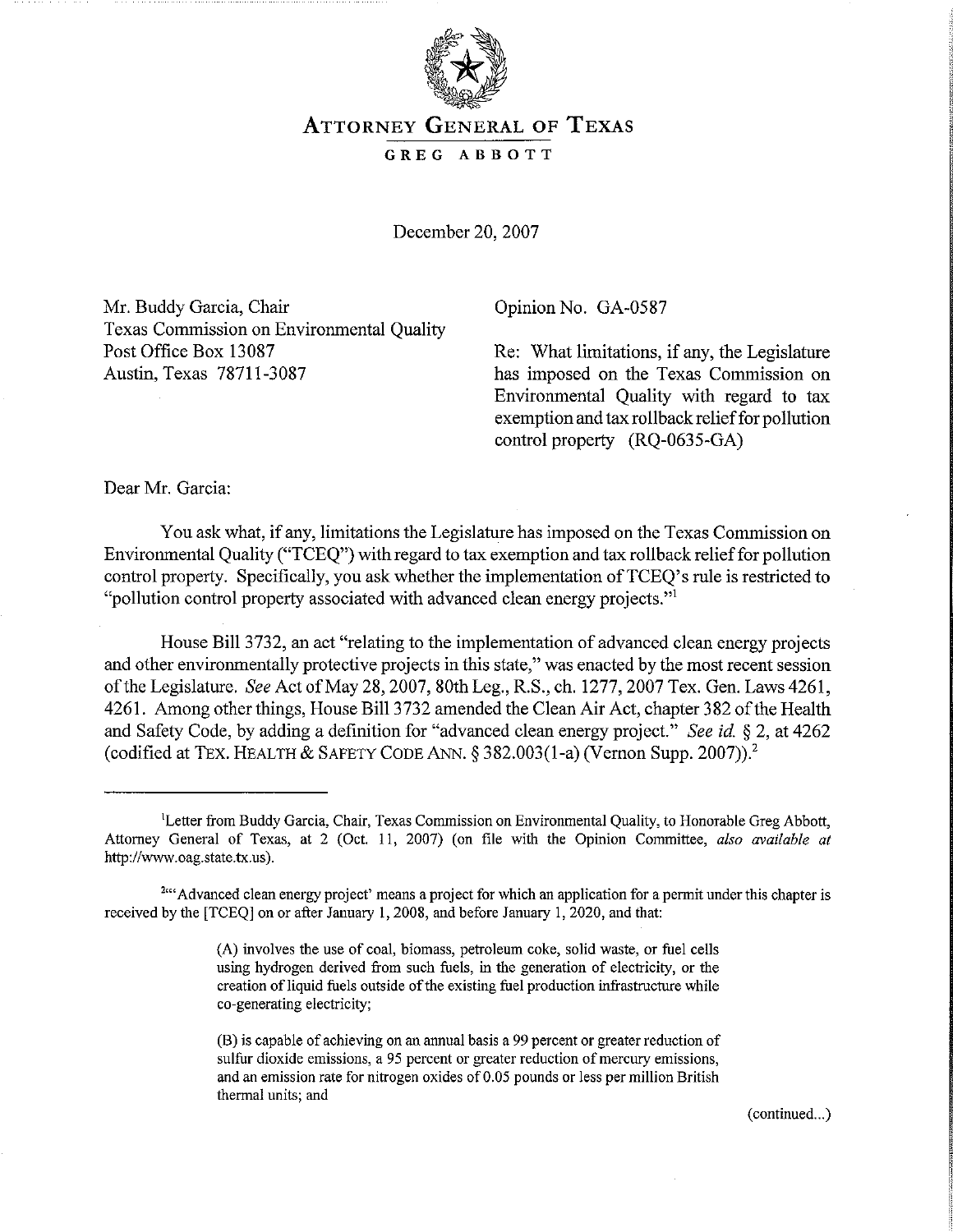

## ATTORNEY GENERAL OF TEXAS

## GREG ABBOTT

December 20, 2007

Mr. Buddy Garcia, Chair Texas Commission on Environmental Quality Post Office Box 13087 Austin, Texas 78711-3087

Opinion No. GA-0587

Re: What limitations, if any, the Legislature has imposed on the Texas Commission on Environmental Quality with regard to tax exemption and tax rollback relief for pollution control property (RQ-0635-GA)

Dear Mr. Garcia:

You ask what, if any, limitations the Legislature has imposed on the Texas Commission on Environmental Quality ("TCEQ") with regard to tax exemption and tax rollback relieffor pollution control property. Specifically, you ask whether the implementation of TCEQ's rule is restricted to "pollution control property associated with advanced clean energy projects."l

House Bill 3732, an act "relating to the implementation of advanced clean energy projects and other environmentally protective projects in this state," was enacted by the most recent session ofthe Legislature. *See* Act ofMay 28, 2007, 80th Leg., R.S., ch. 1277,2007 Tex. Gen. Laws 4261, 4261. Among other things, House Bill 3732 amended the Clean Air Act, chapter 382 ofthe Health and Safety Code, by adding a definition for "advanced clean energy project." *See id.* § 2, at 4262 (codified at TEX. HEALTH  $&$  SAFETY CODE ANN.  $\frac{5382.003(1-a)}{1}$  (Vernon Supp. 2007)).<sup>2</sup>

(continued...)

<sup>&</sup>lt;sup>1</sup>Letter from Buddy Garcia, Chair, Texas Commission on Environmental Quality, to Honorable Greg Abbott, Attorney General of Texas, at 2 (Oct. II, 2007) (on file with the Opinion Committee, *also available at* http://www.oag.state.tx.us).

<sup>&</sup>lt;sup>2,64</sup> Advanced clean energy project' means a project for which an application for a permit under this chapter is received by the [TCEQ] on or after January 1,2008, and before January I, 2020, and that:

<sup>(</sup>A) involves the use of coal, biomass, petroleum coke, solid waste, or fuel cells using hydrogen derived from such fuels, in the generation of electricity, or the creation of liquid fuels outside of the existing fuel production infrastructure while co-generating electricity:

<sup>(</sup>B) is capable of achieving on an annual basis a 99 percent or greater reduction of **sulfur dioxide emissions, a 95 percent or greater reduction of mercury emissions,** and an emission rate for nitrogen oxides of 0.05 pounds or less per million British **thermal units; and**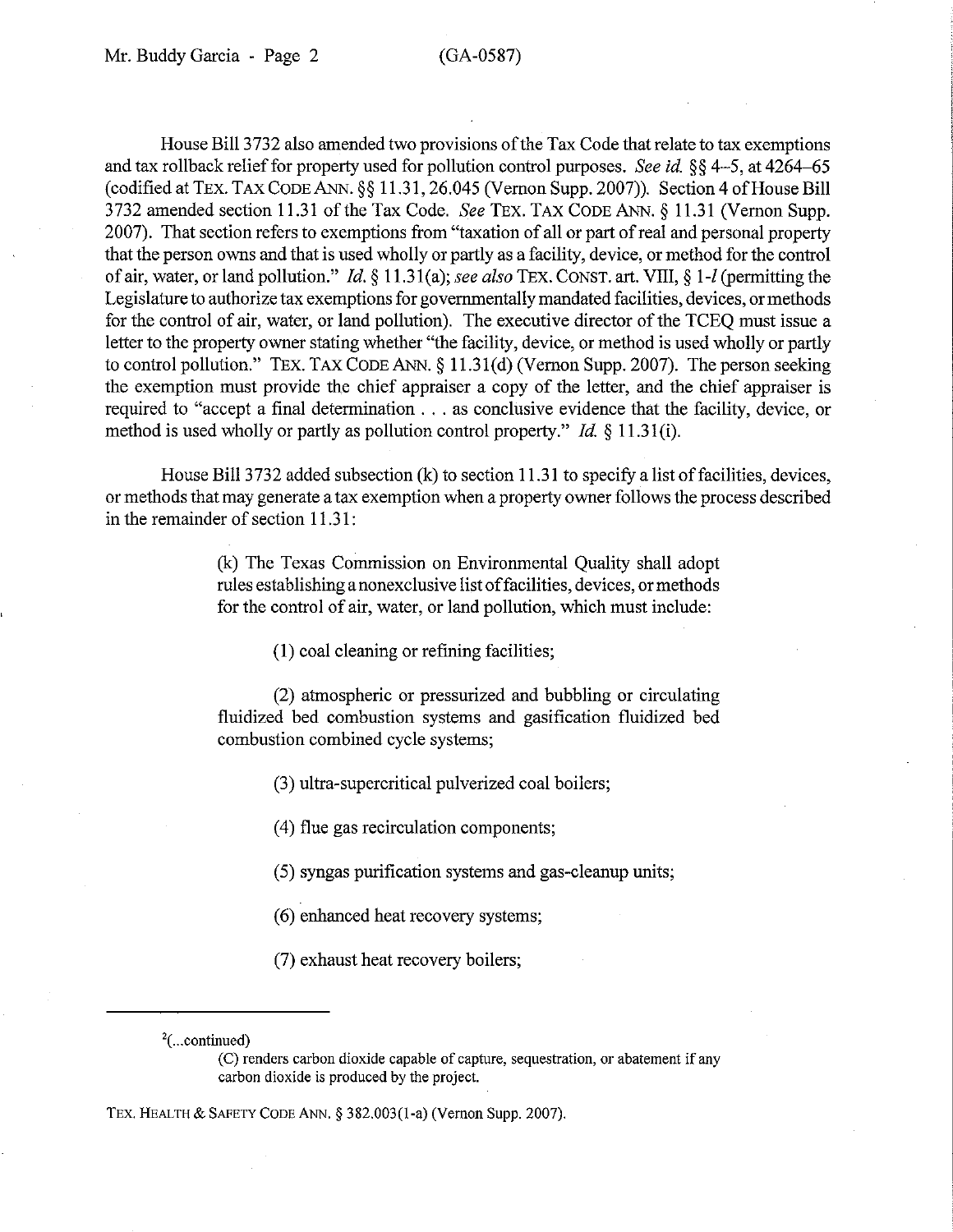House Bill 3732 also amended two provisions of the Tax Code that relate to tax exemptions and tax rollback relief for property used for pollution control purposes. *See id.* §§ 4-5, at 4264-65  $(codified at TEXT. TaxCODE ANN.  $\$  11.31, 26.045 (Vernon Supp. 2007)). Section 4 of House Bill$ 3732 amended section 11.31 of the Tax Code. *See* TEX. TAX CODE ANN. § 11.31 (Vernon Supp. 2007). That section refers to exemptions from "taxation of all or part ofreal and personal property that the person owns and that is used wholly or partly as a facility, device, or method for the control of air, water, or land pollution." *Id.* § 11.31(a); see also TEX. CONST. art. VIII, § 1-*l* (permitting the Legislature to authorize tax exemptions for governmentally mandated facilities, devices, or methods for the control of air, water, or land pollution). The executive director of the TCEO must issue a letter to the property owner stating whether "the facility, device, or method is used wholly or partly to control pollution." TEx. TAX CODE ANN. § 11.31(d) (Vernon Supp. 2007). The person seeking the exemption must provide the chief appraiser a copy of the letter, and the chief appraiser is required to "accept <sup>a</sup> final determination ... as conclusive evidence that the facility, device, or method is used wholly or partly as pollution control property." *Id.* § 11.31(i).

House Bill 3732 added subsection  $(k)$  to section 11.31 to specify a list of facilities, devices, or methods that may generate a tax exemption when a property owner follows the process described in the remainder of section 11.31:

> (k) The Texas Commission on Environmental Quality shall adopt rules establishing a nonexclusive list offacilities, devices, ormethods for the control of air, water, or land pollution, which must include:

> > (I) coal cleaning or refining facilities;

(2) atmospheric or pressurized and bubbling or circulating fluidized bed combustion systems and gasification fluidized bed combustion combined cycle systems;

(3) ultra-supercritical pulverized coal boilers;

(4) flue gas recirculation components;

(5) syngas purification systems and gas-cleanup units;

(6) enhanced heat recovery systems;

(7) exhaust heat recovery boilers;

TEX. HEALTH & SAFETV CODE ANN. § 382.003(1-a) (Vernon Supp. 2007).

 $2$ (...continued)

<sup>(</sup>C) renders carbon dioxide capable of capture, sequestration, or abatement if any carbon dioxide is produced by the project.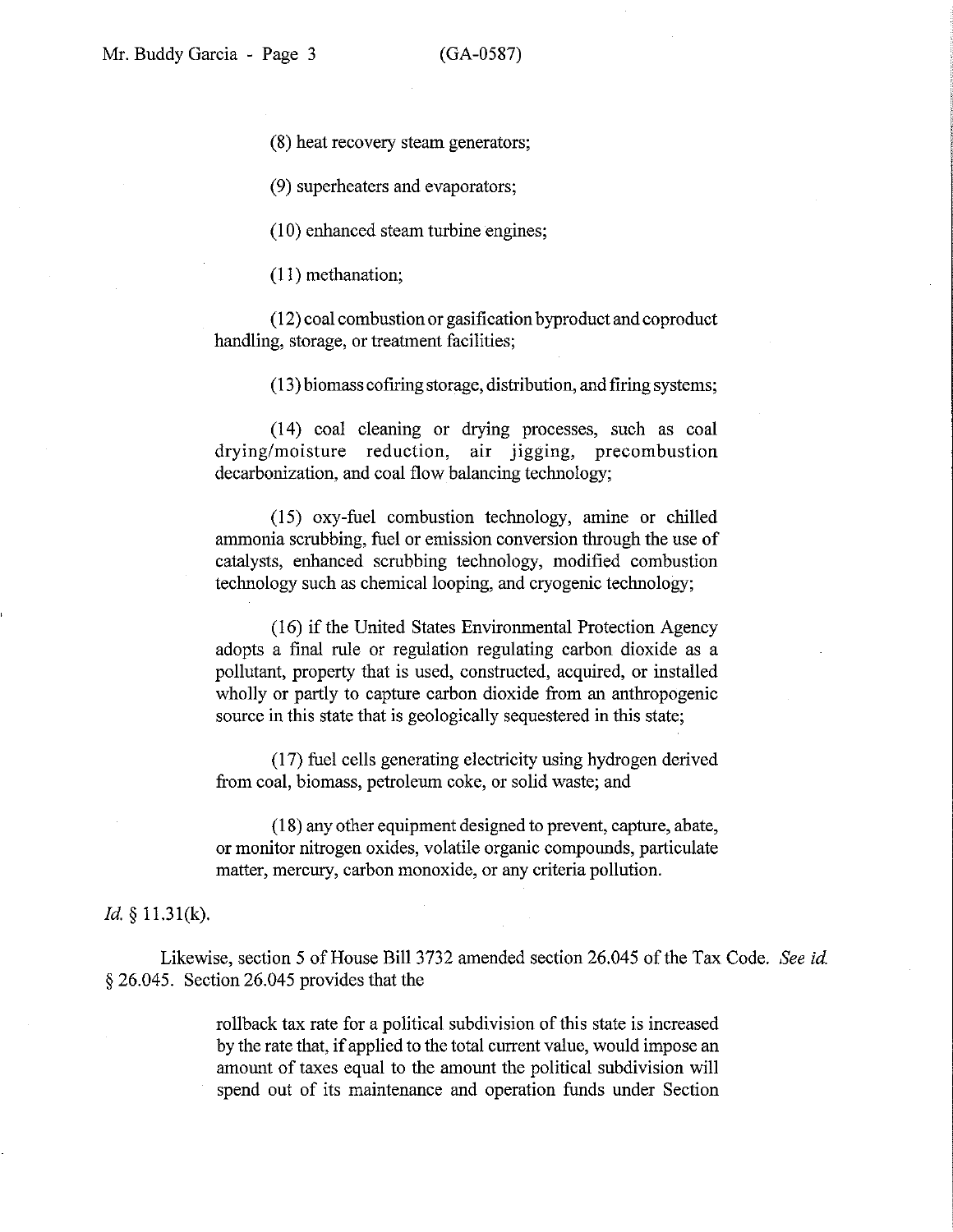(8) heat recovery steam generators;

(9) superheaters and evaporators;

(10) enhanced steam turbine engines;

(11) methanation;

 $(12)$  coal combustion or gasification byproduct and coproduct handling, storage, or treatment facilities;

(13) biomass cofrring storage, distribution, and firing systems;

(14) coal cleaning or drying processes, such as coal drying/moisture reduction, air jigging, precombustion decarbonization, and coal flow balancing technology;

(15) oxy-fuel combustion technology, amine or chilled ammonia scrubbing, fuel or emission conversion through the use of catalysts, enhanced scrubbing technology, modified combustion technology such as chemical looping, and cryogenic technology;

(16) if the United States Environmental Protection Agency adopts a final rule or regulation regulating carbon dioxide as a pollutant, property that is used, constructed, acquired, or installed wholly or partly to capture carbon dioxide from an anthropogenic source in this state that is geologically sequestered in this state;

(17) fuel cells generating electricity using hydrogen derived from coal, biomass, petroleum coke, or solid waste; and

(18) any other equipment designed to prevent, capture, abate, or monitor nitrogen oxides, volatile organic compounds, particulate matter, mercury, carbon monoxide, or any criteria pollution.

## *Id.* § 11.3 1(k).

Likewise, section 5 of House Bill 3732 amended section 26.045 ofthe Tax Code. *See id.* § 26.045. Section 26.045 provides that the

> rollback tax rate for a political subdivision of this state is increased by the rate that, if applied to the total current value, would impose an amount of taxes equal to the amount the political subdivision will spend out of its maintenance and operation funds under Section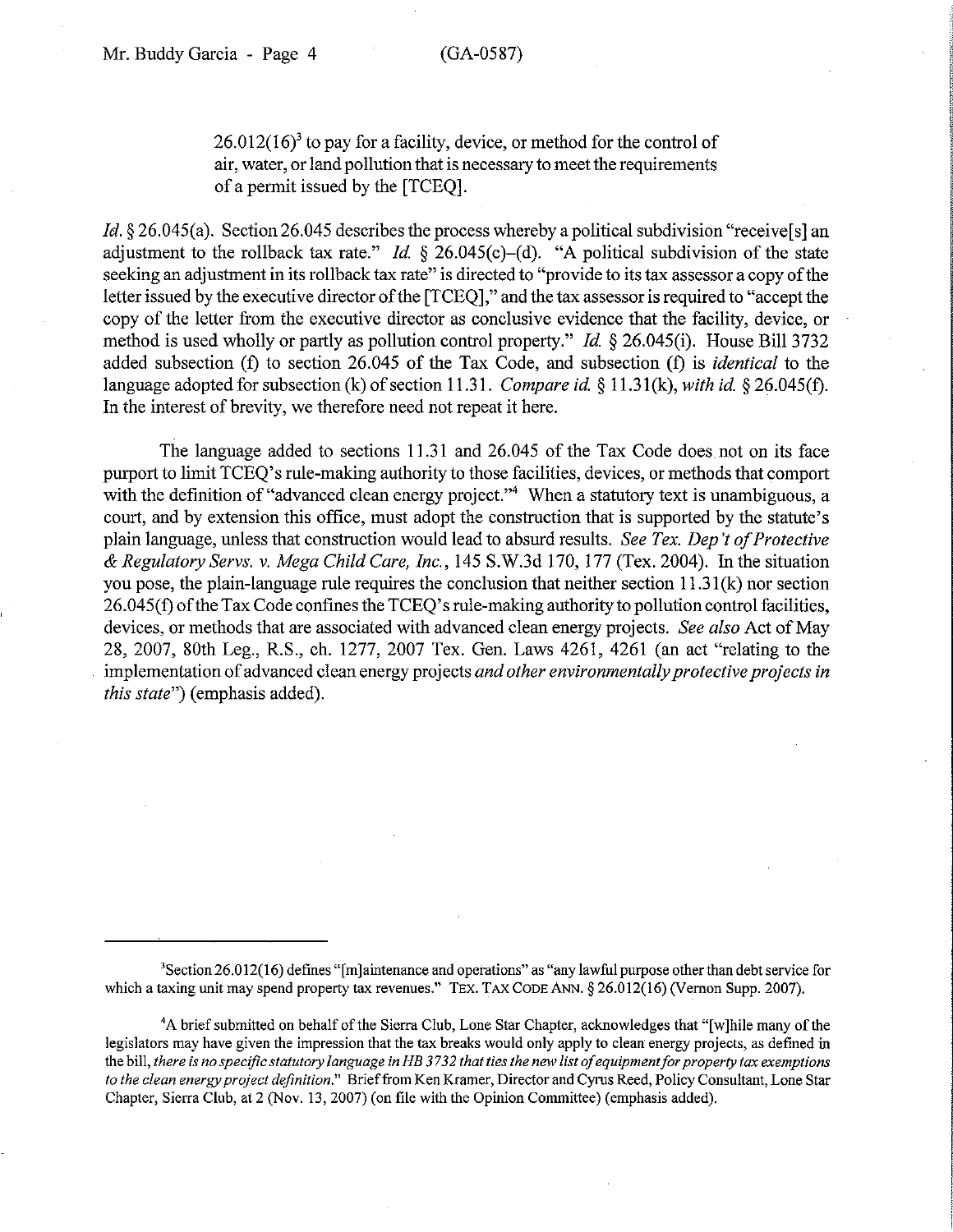$26.012(16)<sup>3</sup>$  to pay for a facility, device, or method for the control of air, water, or land pollution that is necessary to meet the requirements of a pennit issued by the [TCEQ].

*ld.* § 26.045(a). Section 26.045 describes the process whereby a political subdivision "receivels] an adjustment to the rollback tax rate." *Id.*  $\frac{26.045(c)}{d}$ . "A political subdivision of the state seeking an adjustment in its rollback tax rate" is directed to "provide to its tax assessor a copy of the letter issued by the executive director of the [TCEQ]," and the tax assessor is required to "accept the copy of the letter from the executive director as conclusive evidence that the facility, device, or method is used wholly or partly as pollution control property." *ld* § 26.045(i). House Bill 3732 added subsection (f) to section 26.045 of the Tax Code, and subsection (f) is *identical* to the language adopted for subsection (k) of section 11.31. *Compare id.*  $\frac{8}{11.31}$ (k), *with id.*  $\frac{8}{26.045}$ (f). In the interest of brevity, we therefore need not repeat it here.

The language added to sections 11.31 and 26.045 of the Tax Code does not on its face purport to limit TCEQ's rule-making authority to those facilities, devices, or methods that comport with the definition of "advanced clean energy project."<sup>4</sup> When a statutory text is unambiguous, a court, and by extension this office, must adopt the construction that is supported by the statute's plain language, unless that construction would lead to absurd results. *See Tex. Dep't ofProtective* & *Regulatory Servs.* v. *Mega Child Care, Inc.,* 145 S.W.3d 170, 177 (Tex. 2004). In the situation you pose, the plain-language rule requires the conclusion that neither section 11.31(k) nor section 26.045(f) of the Tax Code confines the TCEQ's rule-making authority to pollution control facilities, devices, or methods that are associated with advanced clean energy projects. *See also* Act of May 28, 2007, 80th Leg., RS., ch. 1277, 2007 Tex. Gen. Laws 4261, 4261 (an act "relating to the implementation of advanced clean energy projects *and other environmentally protective projects in this state")* (emphasis added).

<sup>&#</sup>x27;Section 26.012(16) defines "[m]aintenance and operations" as "any lawful purpose other than debtservice for which a taxing unit may spend property tax revenues." TEX. TAX CODE ANN. § 26.012(16) (Vernon Supp. 2007).

<sup>&</sup>lt;sup>4</sup>A brief submitted on behalf of the Sierra Club, Lone Star Chapter, acknowledges that "[w]hile many of the legislators may have given the impression that the tax breaks would only apply to clean energy projects, as defined in the bill, there is no specific statutory language in HB 3732 that ties the new list of equipment for property tax exemptions *to the clean energyproject definition."* Brieffrom Ken Kramer, Director and Cyrus Reed, Policy Consultant, Lone Star Chapter, Sierra Club, at 2 (Nov. 13,2007) (on file with the Opinion Committee) (emphasis added).